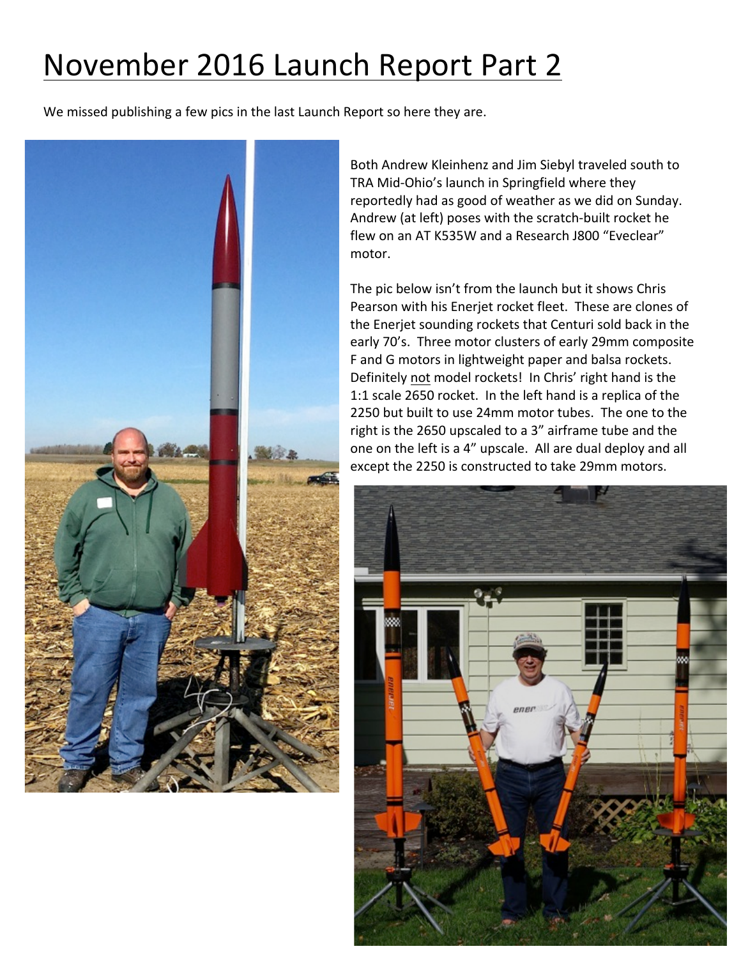## November 2016 Launch Report Part 2

We missed publishing a few pics in the last Launch Report so here they are.



Both Andrew Kleinhenz and Jim Siebyl traveled south to TRA Mid-Ohio's launch in Springfield where they reportedly had as good of weather as we did on Sunday. Andrew (at left) poses with the scratch-built rocket he flew on an AT K535W and a Research J800 "Eveclear" motor.

The pic below isn't from the launch but it shows Chris Pearson with his Enerjet rocket fleet. These are clones of the Enerjet sounding rockets that Centuri sold back in the early 70's. Three motor clusters of early 29mm composite F and G motors in lightweight paper and balsa rockets. Definitely not model rockets! In Chris' right hand is the 1:1 scale 2650 rocket. In the left hand is a replica of the 2250 but built to use 24mm motor tubes. The one to the right is the 2650 upscaled to a 3" airframe tube and the one on the left is a 4" upscale. All are dual deploy and all except the 2250 is constructed to take 29mm motors.

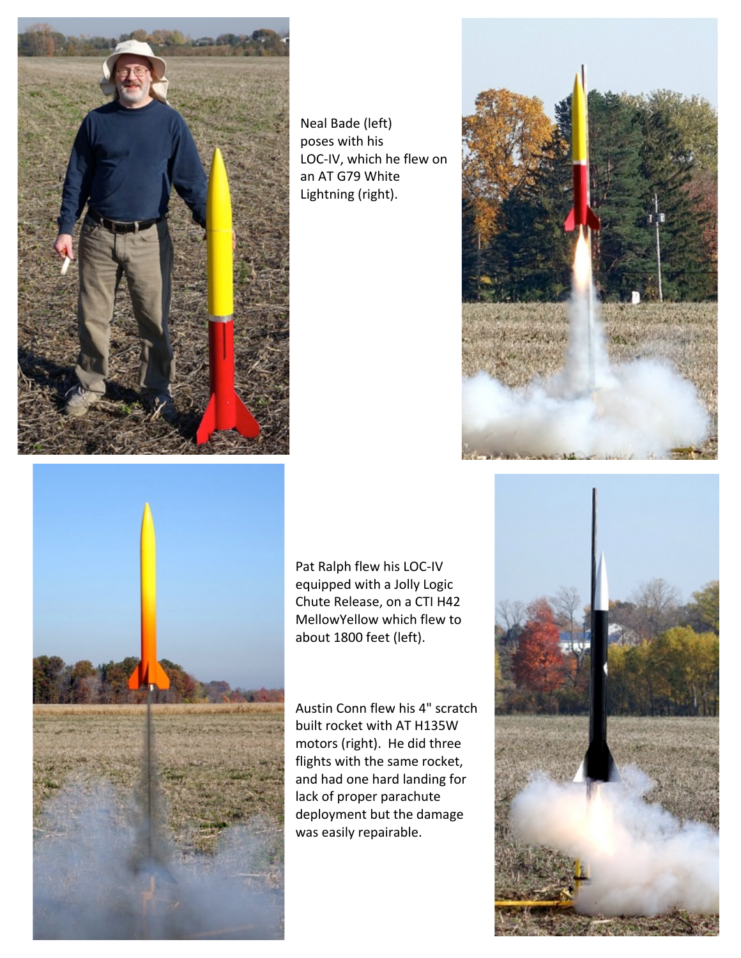

Neal Bade (left) poses with his LOC-IV, which he flew on an AT G79 White Lightning (right).



Pat Ralph flew his LOC-IV equipped with a Jolly Logic Chute Release, on a CTI H42 MellowYellow which flew to about 1800 feet (left).

Austin Conn flew his 4" scratch built rocket with AT H135W motors (right). He did three flights with the same rocket, and had one hard landing for lack of proper parachute deployment but the damage was easily repairable.